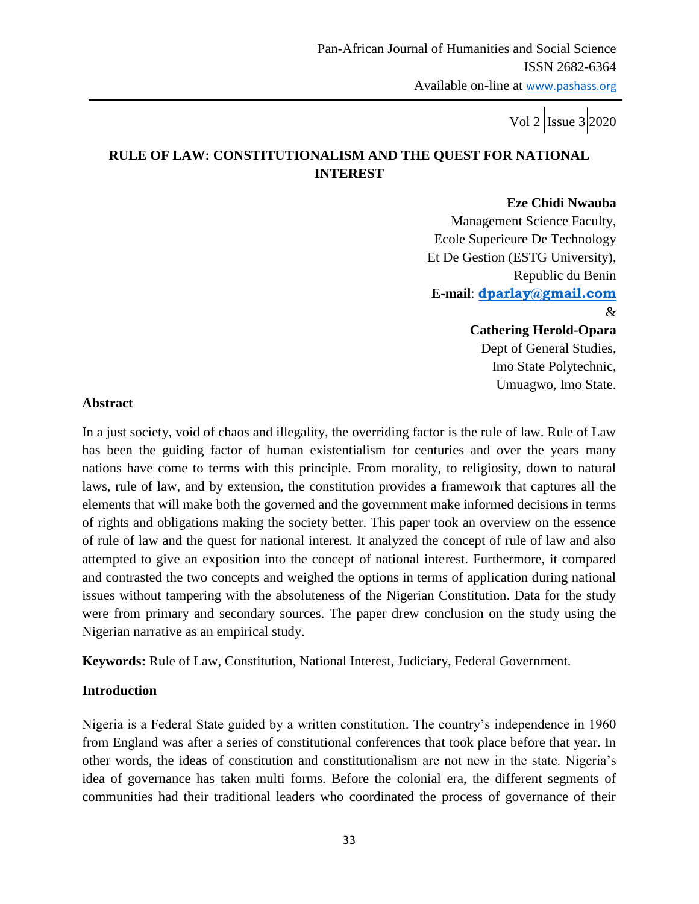# **RULE OF LAW: CONSTITUTIONALISM AND THE QUEST FOR NATIONAL INTEREST**

#### **Eze Chidi Nwauba**

 Management Science Faculty, Ecole Superieure De Technology Et De Gestion (ESTG University), Republic du Benin **E**-**mail**: **[dparlay@gmail.com](mailto:dparlay@gmail.com)** & **Cathering Herold-Opara** Dept of General Studies,

 Imo State Polytechnic, Umuagwo, Imo State.

#### **Abstract**

In a just society, void of chaos and illegality, the overriding factor is the rule of law. Rule of Law has been the guiding factor of human existentialism for centuries and over the years many nations have come to terms with this principle. From morality, to religiosity, down to natural laws, rule of law, and by extension, the constitution provides a framework that captures all the elements that will make both the governed and the government make informed decisions in terms of rights and obligations making the society better. This paper took an overview on the essence of rule of law and the quest for national interest. It analyzed the concept of rule of law and also attempted to give an exposition into the concept of national interest. Furthermore, it compared and contrasted the two concepts and weighed the options in terms of application during national issues without tampering with the absoluteness of the Nigerian Constitution. Data for the study were from primary and secondary sources. The paper drew conclusion on the study using the Nigerian narrative as an empirical study.

**Keywords:** Rule of Law, Constitution, National Interest, Judiciary, Federal Government.

#### **Introduction**

Nigeria is a Federal State guided by a written constitution. The country"s independence in 1960 from England was after a series of constitutional conferences that took place before that year. In other words, the ideas of constitution and constitutionalism are not new in the state. Nigeria"s idea of governance has taken multi forms. Before the colonial era, the different segments of communities had their traditional leaders who coordinated the process of governance of their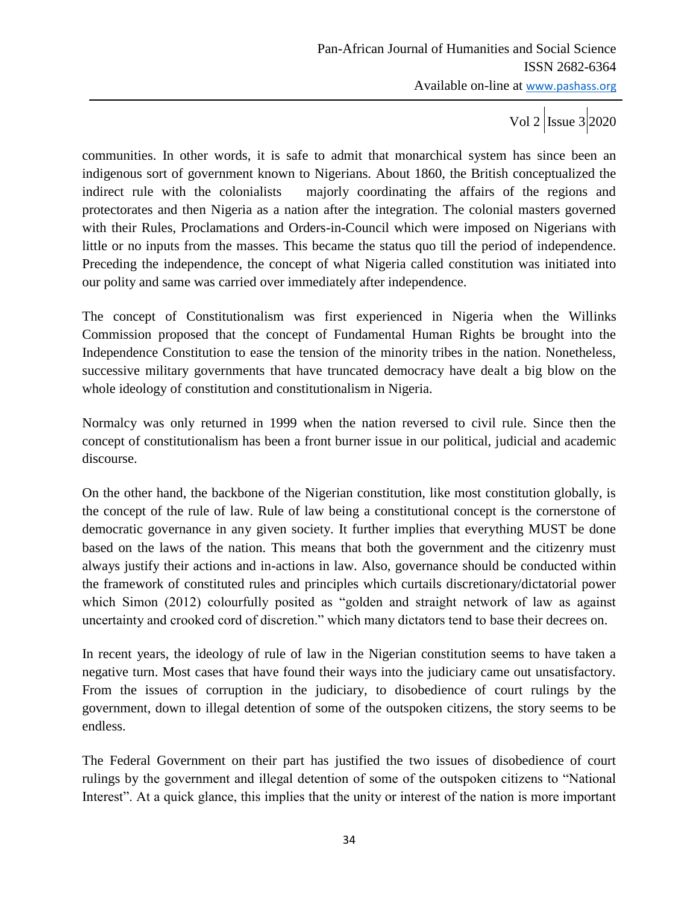communities. In other words, it is safe to admit that monarchical system has since been an indigenous sort of government known to Nigerians. About 1860, the British conceptualized the indirect rule with the colonialists majorly coordinating the affairs of the regions and protectorates and then Nigeria as a nation after the integration. The colonial masters governed with their Rules, Proclamations and Orders-in-Council which were imposed on Nigerians with little or no inputs from the masses. This became the status quo till the period of independence. Preceding the independence, the concept of what Nigeria called constitution was initiated into our polity and same was carried over immediately after independence.

The concept of Constitutionalism was first experienced in Nigeria when the Willinks Commission proposed that the concept of Fundamental Human Rights be brought into the Independence Constitution to ease the tension of the minority tribes in the nation. Nonetheless, successive military governments that have truncated democracy have dealt a big blow on the whole ideology of constitution and constitutionalism in Nigeria.

Normalcy was only returned in 1999 when the nation reversed to civil rule. Since then the concept of constitutionalism has been a front burner issue in our political, judicial and academic discourse.

On the other hand, the backbone of the Nigerian constitution, like most constitution globally, is the concept of the rule of law. Rule of law being a constitutional concept is the cornerstone of democratic governance in any given society. It further implies that everything MUST be done based on the laws of the nation. This means that both the government and the citizenry must always justify their actions and in-actions in law. Also, governance should be conducted within the framework of constituted rules and principles which curtails discretionary/dictatorial power which Simon (2012) colourfully posited as "golden and straight network of law as against uncertainty and crooked cord of discretion." which many dictators tend to base their decrees on.

In recent years, the ideology of rule of law in the Nigerian constitution seems to have taken a negative turn. Most cases that have found their ways into the judiciary came out unsatisfactory. From the issues of corruption in the judiciary, to disobedience of court rulings by the government, down to illegal detention of some of the outspoken citizens, the story seems to be endless.

The Federal Government on their part has justified the two issues of disobedience of court rulings by the government and illegal detention of some of the outspoken citizens to "National Interest". At a quick glance, this implies that the unity or interest of the nation is more important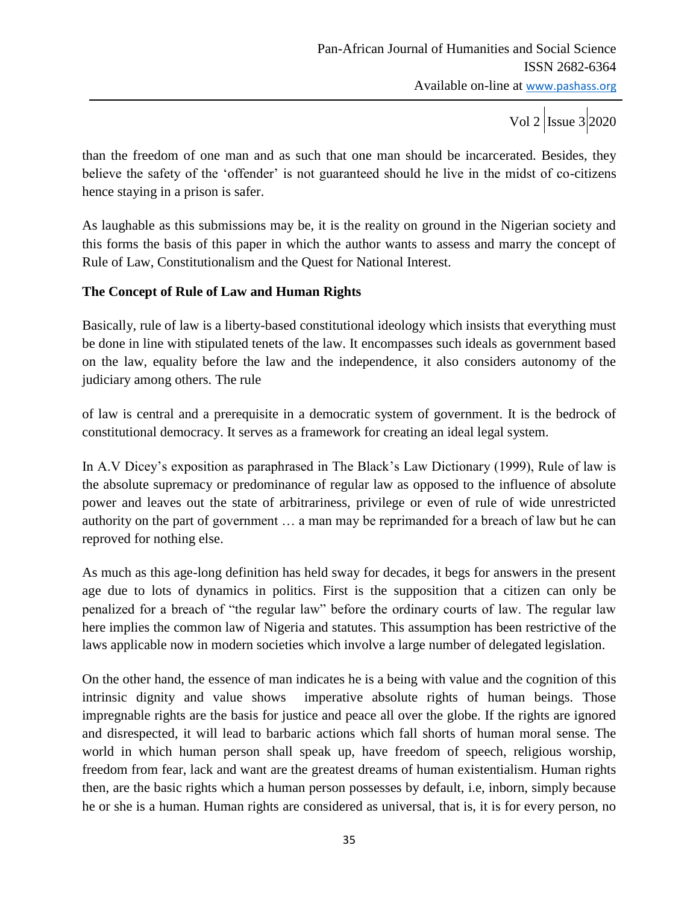than the freedom of one man and as such that one man should be incarcerated. Besides, they believe the safety of the 'offender' is not guaranteed should he live in the midst of co-citizens hence staying in a prison is safer.

As laughable as this submissions may be, it is the reality on ground in the Nigerian society and this forms the basis of this paper in which the author wants to assess and marry the concept of Rule of Law, Constitutionalism and the Quest for National Interest.

### **The Concept of Rule of Law and Human Rights**

Basically, rule of law is a liberty-based constitutional ideology which insists that everything must be done in line with stipulated tenets of the law. It encompasses such ideals as government based on the law, equality before the law and the independence, it also considers autonomy of the judiciary among others. The rule

of law is central and a prerequisite in a democratic system of government. It is the bedrock of constitutional democracy. It serves as a framework for creating an ideal legal system.

In A.V Dicey's exposition as paraphrased in The Black's Law Dictionary (1999), Rule of law is the absolute supremacy or predominance of regular law as opposed to the influence of absolute power and leaves out the state of arbitrariness, privilege or even of rule of wide unrestricted authority on the part of government … a man may be reprimanded for a breach of law but he can reproved for nothing else.

As much as this age-long definition has held sway for decades, it begs for answers in the present age due to lots of dynamics in politics. First is the supposition that a citizen can only be penalized for a breach of "the regular law" before the ordinary courts of law. The regular law here implies the common law of Nigeria and statutes. This assumption has been restrictive of the laws applicable now in modern societies which involve a large number of delegated legislation.

On the other hand, the essence of man indicates he is a being with value and the cognition of this intrinsic dignity and value shows imperative absolute rights of human beings. Those impregnable rights are the basis for justice and peace all over the globe. If the rights are ignored and disrespected, it will lead to barbaric actions which fall shorts of human moral sense. The world in which human person shall speak up, have freedom of speech, religious worship, freedom from fear, lack and want are the greatest dreams of human existentialism. Human rights then, are the basic rights which a human person possesses by default, i.e, inborn, simply because he or she is a human. Human rights are considered as universal, that is, it is for every person, no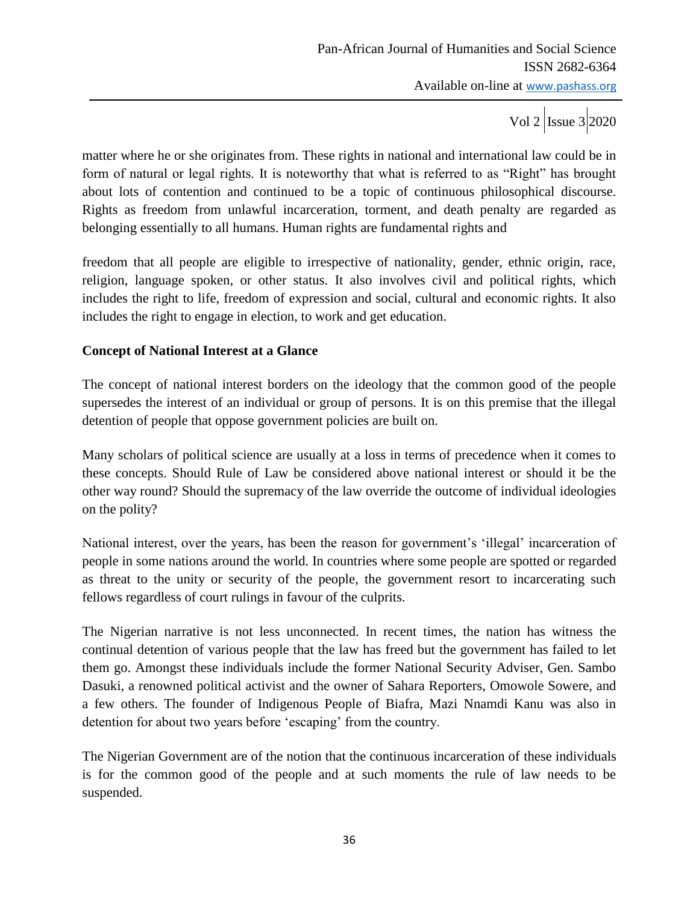Vol 2  $\vert$  Issue 3 2020

matter where he or she originates from. These rights in national and international law could be in form of natural or legal rights. It is noteworthy that what is referred to as "Right" has brought about lots of contention and continued to be a topic of continuous philosophical discourse. Rights as freedom from unlawful incarceration, torment, and death penalty are regarded as belonging essentially to all humans. Human rights are fundamental rights and

freedom that all people are eligible to irrespective of nationality, gender, ethnic origin, race, religion, language spoken, or other status. It also involves civil and political rights, which includes the right to life, freedom of expression and social, cultural and economic rights. It also includes the right to engage in election, to work and get education.

## **Concept of National Interest at a Glance**

The concept of national interest borders on the ideology that the common good of the people supersedes the interest of an individual or group of persons. It is on this premise that the illegal detention of people that oppose government policies are built on.

Many scholars of political science are usually at a loss in terms of precedence when it comes to these concepts. Should Rule of Law be considered above national interest or should it be the other way round? Should the supremacy of the law override the outcome of individual ideologies on the polity?

National interest, over the years, has been the reason for government's 'illegal' incarceration of people in some nations around the world. In countries where some people are spotted or regarded as threat to the unity or security of the people, the government resort to incarcerating such fellows regardless of court rulings in favour of the culprits.

The Nigerian narrative is not less unconnected. In recent times, the nation has witness the continual detention of various people that the law has freed but the government has failed to let them go. Amongst these individuals include the former National Security Adviser, Gen. Sambo Dasuki, a renowned political activist and the owner of Sahara Reporters, Omowole Sowere, and a few others. The founder of Indigenous People of Biafra, Mazi Nnamdi Kanu was also in detention for about two years before 'escaping' from the country.

The Nigerian Government are of the notion that the continuous incarceration of these individuals is for the common good of the people and at such moments the rule of law needs to be suspended.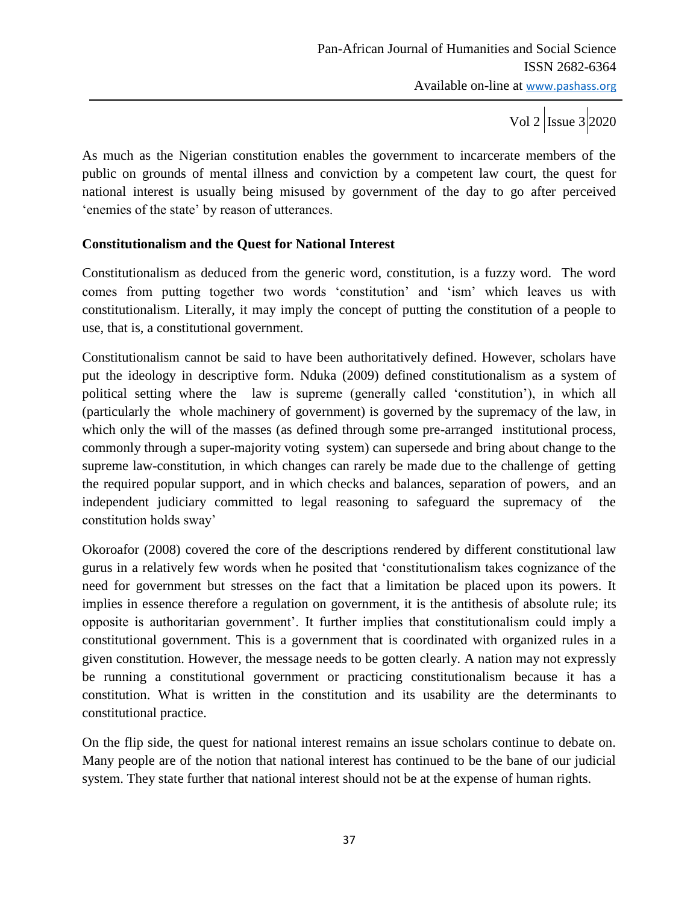As much as the Nigerian constitution enables the government to incarcerate members of the public on grounds of mental illness and conviction by a competent law court, the quest for national interest is usually being misused by government of the day to go after perceived 'enemies of the state' by reason of utterances.

### **Constitutionalism and the Quest for National Interest**

Constitutionalism as deduced from the generic word, constitution, is a fuzzy word. The word comes from putting together two words "constitution" and "ism" which leaves us with constitutionalism. Literally, it may imply the concept of putting the constitution of a people to use, that is, a constitutional government.

Constitutionalism cannot be said to have been authoritatively defined. However, scholars have put the ideology in descriptive form. Nduka (2009) defined constitutionalism as a system of political setting where the law is supreme (generally called "constitution"), in which all (particularly the whole machinery of government) is governed by the supremacy of the law, in which only the will of the masses (as defined through some pre-arranged institutional process, commonly through a super-majority voting system) can supersede and bring about change to the supreme law-constitution, in which changes can rarely be made due to the challenge of getting the required popular support, and in which checks and balances, separation of powers, and an independent judiciary committed to legal reasoning to safeguard the supremacy of the constitution holds sway"

Okoroafor (2008) covered the core of the descriptions rendered by different constitutional law gurus in a relatively few words when he posited that "constitutionalism takes cognizance of the need for government but stresses on the fact that a limitation be placed upon its powers. It implies in essence therefore a regulation on government, it is the antithesis of absolute rule; its opposite is authoritarian government". It further implies that constitutionalism could imply a constitutional government. This is a government that is coordinated with organized rules in a given constitution. However, the message needs to be gotten clearly. A nation may not expressly be running a constitutional government or practicing constitutionalism because it has a constitution. What is written in the constitution and its usability are the determinants to constitutional practice.

On the flip side, the quest for national interest remains an issue scholars continue to debate on. Many people are of the notion that national interest has continued to be the bane of our judicial system. They state further that national interest should not be at the expense of human rights.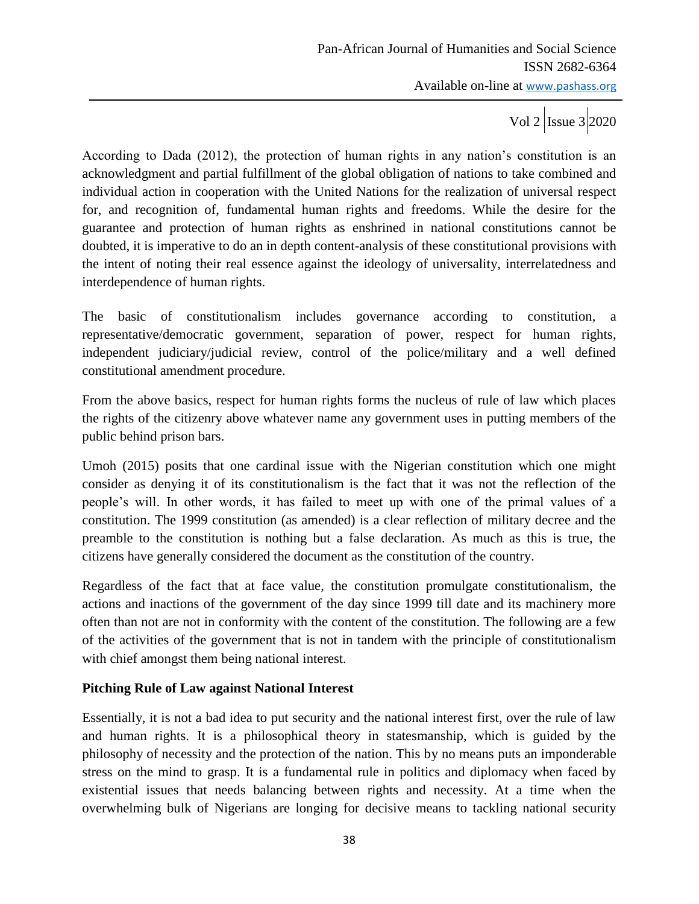According to Dada (2012), the protection of human rights in any nation"s constitution is an acknowledgment and partial fulfillment of the global obligation of nations to take combined and individual action in cooperation with the United Nations for the realization of universal respect for, and recognition of, fundamental human rights and freedoms. While the desire for the guarantee and protection of human rights as enshrined in national constitutions cannot be doubted, it is imperative to do an in depth content-analysis of these constitutional provisions with the intent of noting their real essence against the ideology of universality, interrelatedness and interdependence of human rights.

The basic of constitutionalism includes governance according to constitution, a representative/democratic government, separation of power, respect for human rights, independent judiciary/judicial review, control of the police/military and a well defined constitutional amendment procedure.

From the above basics, respect for human rights forms the nucleus of rule of law which places the rights of the citizenry above whatever name any government uses in putting members of the public behind prison bars.

Umoh (2015) posits that one cardinal issue with the Nigerian constitution which one might consider as denying it of its constitutionalism is the fact that it was not the reflection of the people"s will. In other words, it has failed to meet up with one of the primal values of a constitution. The 1999 constitution (as amended) is a clear reflection of military decree and the preamble to the constitution is nothing but a false declaration. As much as this is true, the citizens have generally considered the document as the constitution of the country.

Regardless of the fact that at face value, the constitution promulgate constitutionalism, the actions and inactions of the government of the day since 1999 till date and its machinery more often than not are not in conformity with the content of the constitution. The following are a few of the activities of the government that is not in tandem with the principle of constitutionalism with chief amongst them being national interest.

## **Pitching Rule of Law against National Interest**

Essentially, it is not a bad idea to put security and the national interest first, over the rule of law and human rights. It is a philosophical theory in statesmanship, which is guided by the philosophy of necessity and the protection of the nation. This by no means puts an imponderable stress on the mind to grasp. It is a fundamental rule in politics and diplomacy when faced by existential issues that needs balancing between rights and necessity. At a time when the overwhelming bulk of Nigerians are longing for decisive means to tackling national security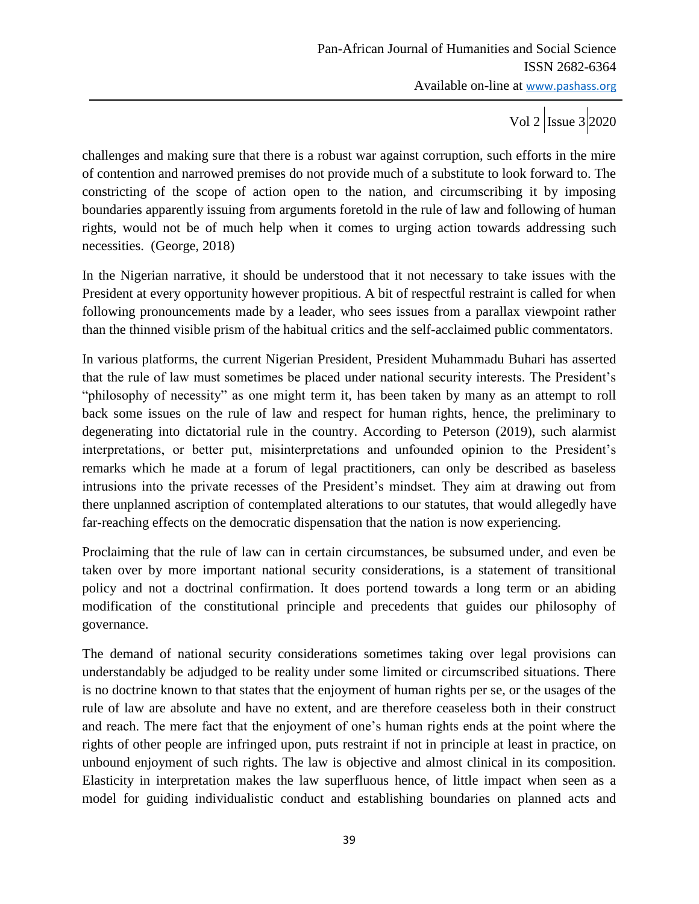Vol 2  $\vert$ Issue 3 2020

challenges and making sure that there is a robust war against corruption, such efforts in the mire of contention and narrowed premises do not provide much of a substitute to look forward to. The constricting of the scope of action open to the nation, and circumscribing it by imposing boundaries apparently issuing from arguments foretold in the rule of law and following of human rights, would not be of much help when it comes to urging action towards addressing such necessities. (George, 2018)

In the Nigerian narrative, it should be understood that it not necessary to take issues with the President at every opportunity however propitious. A bit of respectful restraint is called for when following pronouncements made by a leader, who sees issues from a parallax viewpoint rather than the thinned visible prism of the habitual critics and the self-acclaimed public commentators.

In various platforms, the current Nigerian President, President Muhammadu Buhari has asserted that the rule of law must sometimes be placed under national security interests. The President"s "philosophy of necessity" as one might term it, has been taken by many as an attempt to roll back some issues on the rule of law and respect for human rights, hence, the preliminary to degenerating into dictatorial rule in the country. According to Peterson (2019), such alarmist interpretations, or better put, misinterpretations and unfounded opinion to the President"s remarks which he made at a forum of legal practitioners, can only be described as baseless intrusions into the private recesses of the President's mindset. They aim at drawing out from there unplanned ascription of contemplated alterations to our statutes, that would allegedly have far-reaching effects on the democratic dispensation that the nation is now experiencing.

Proclaiming that the rule of law can in certain circumstances, be subsumed under, and even be taken over by more important national security considerations, is a statement of transitional policy and not a doctrinal confirmation. It does portend towards a long term or an abiding modification of the constitutional principle and precedents that guides our philosophy of governance.

The demand of national security considerations sometimes taking over legal provisions can understandably be adjudged to be reality under some limited or circumscribed situations. There is no doctrine known to that states that the enjoyment of human rights per se, or the usages of the rule of law are absolute and have no extent, and are therefore ceaseless both in their construct and reach. The mere fact that the enjoyment of one's human rights ends at the point where the rights of other people are infringed upon, puts restraint if not in principle at least in practice, on unbound enjoyment of such rights. The law is objective and almost clinical in its composition. Elasticity in interpretation makes the law superfluous hence, of little impact when seen as a model for guiding individualistic conduct and establishing boundaries on planned acts and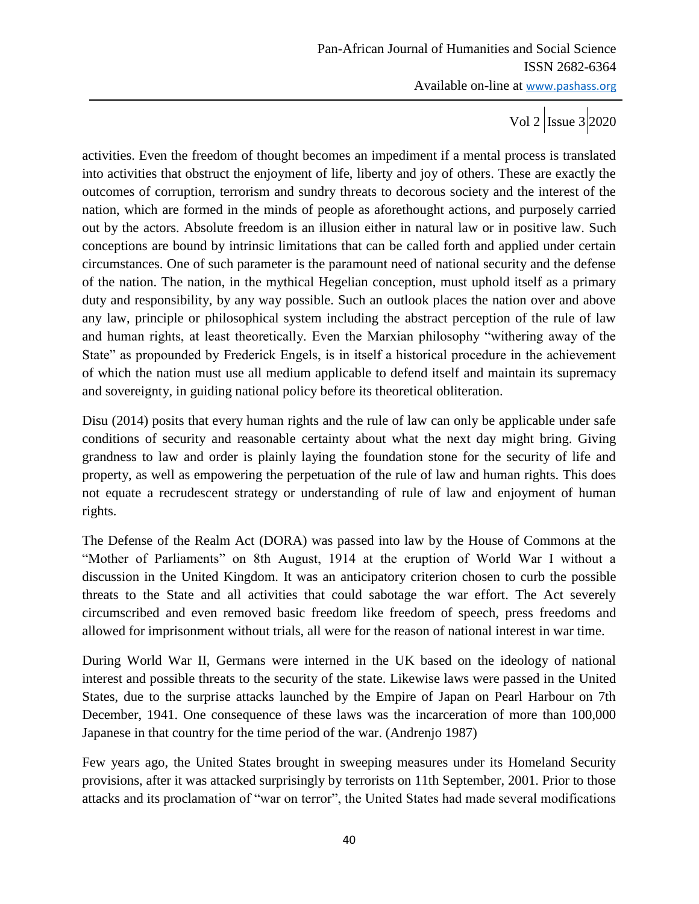activities. Even the freedom of thought becomes an impediment if a mental process is translated into activities that obstruct the enjoyment of life, liberty and joy of others. These are exactly the outcomes of corruption, terrorism and sundry threats to decorous society and the interest of the nation, which are formed in the minds of people as aforethought actions, and purposely carried out by the actors. Absolute freedom is an illusion either in natural law or in positive law. Such conceptions are bound by intrinsic limitations that can be called forth and applied under certain circumstances. One of such parameter is the paramount need of national security and the defense of the nation. The nation, in the mythical Hegelian conception, must uphold itself as a primary duty and responsibility, by any way possible. Such an outlook places the nation over and above any law, principle or philosophical system including the abstract perception of the rule of law and human rights, at least theoretically. Even the Marxian philosophy "withering away of the State" as propounded by Frederick Engels, is in itself a historical procedure in the achievement of which the nation must use all medium applicable to defend itself and maintain its supremacy and sovereignty, in guiding national policy before its theoretical obliteration.

Disu (2014) posits that every human rights and the rule of law can only be applicable under safe conditions of security and reasonable certainty about what the next day might bring. Giving grandness to law and order is plainly laying the foundation stone for the security of life and property, as well as empowering the perpetuation of the rule of law and human rights. This does not equate a recrudescent strategy or understanding of rule of law and enjoyment of human rights.

The Defense of the Realm Act (DORA) was passed into law by the House of Commons at the "Mother of Parliaments" on 8th August, 1914 at the eruption of World War I without a discussion in the United Kingdom. It was an anticipatory criterion chosen to curb the possible threats to the State and all activities that could sabotage the war effort. The Act severely circumscribed and even removed basic freedom like freedom of speech, press freedoms and allowed for imprisonment without trials, all were for the reason of national interest in war time.

During World War II, Germans were interned in the UK based on the ideology of national interest and possible threats to the security of the state. Likewise laws were passed in the United States, due to the surprise attacks launched by the Empire of Japan on Pearl Harbour on 7th December, 1941. One consequence of these laws was the incarceration of more than 100,000 Japanese in that country for the time period of the war. (Andrenjo 1987)

Few years ago, the United States brought in sweeping measures under its Homeland Security provisions, after it was attacked surprisingly by terrorists on 11th September, 2001. Prior to those attacks and its proclamation of "war on terror", the United States had made several modifications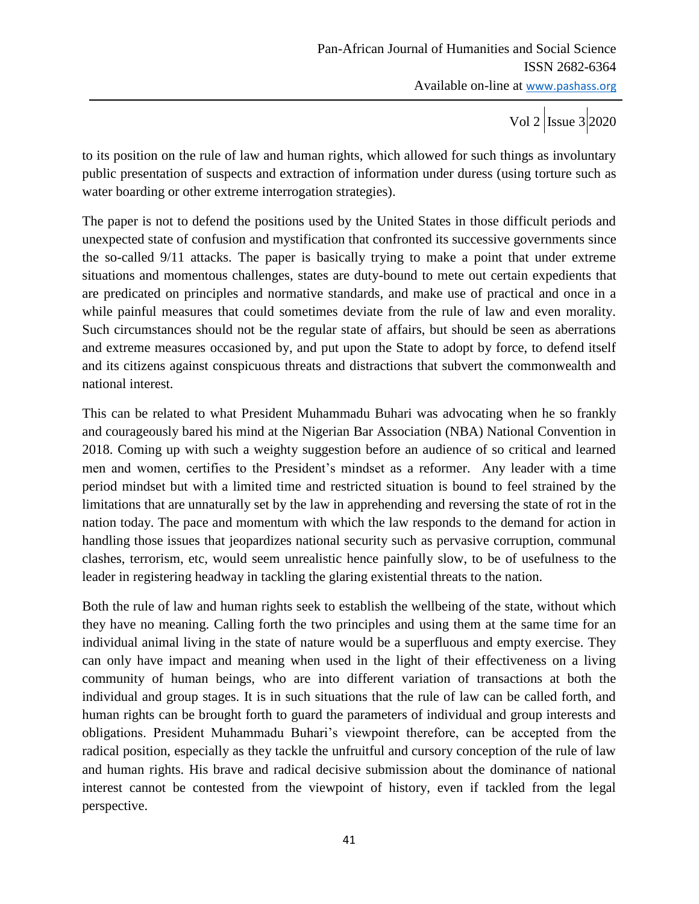to its position on the rule of law and human rights, which allowed for such things as involuntary public presentation of suspects and extraction of information under duress (using torture such as water boarding or other extreme interrogation strategies).

The paper is not to defend the positions used by the United States in those difficult periods and unexpected state of confusion and mystification that confronted its successive governments since the so-called 9/11 attacks. The paper is basically trying to make a point that under extreme situations and momentous challenges, states are duty-bound to mete out certain expedients that are predicated on principles and normative standards, and make use of practical and once in a while painful measures that could sometimes deviate from the rule of law and even morality. Such circumstances should not be the regular state of affairs, but should be seen as aberrations and extreme measures occasioned by, and put upon the State to adopt by force, to defend itself and its citizens against conspicuous threats and distractions that subvert the commonwealth and national interest.

This can be related to what President Muhammadu Buhari was advocating when he so frankly and courageously bared his mind at the Nigerian Bar Association (NBA) National Convention in 2018. Coming up with such a weighty suggestion before an audience of so critical and learned men and women, certifies to the President"s mindset as a reformer. Any leader with a time period mindset but with a limited time and restricted situation is bound to feel strained by the limitations that are unnaturally set by the law in apprehending and reversing the state of rot in the nation today. The pace and momentum with which the law responds to the demand for action in handling those issues that jeopardizes national security such as pervasive corruption, communal clashes, terrorism, etc, would seem unrealistic hence painfully slow, to be of usefulness to the leader in registering headway in tackling the glaring existential threats to the nation.

Both the rule of law and human rights seek to establish the wellbeing of the state, without which they have no meaning. Calling forth the two principles and using them at the same time for an individual animal living in the state of nature would be a superfluous and empty exercise. They can only have impact and meaning when used in the light of their effectiveness on a living community of human beings, who are into different variation of transactions at both the individual and group stages. It is in such situations that the rule of law can be called forth, and human rights can be brought forth to guard the parameters of individual and group interests and obligations. President Muhammadu Buhari"s viewpoint therefore, can be accepted from the radical position, especially as they tackle the unfruitful and cursory conception of the rule of law and human rights. His brave and radical decisive submission about the dominance of national interest cannot be contested from the viewpoint of history, even if tackled from the legal perspective.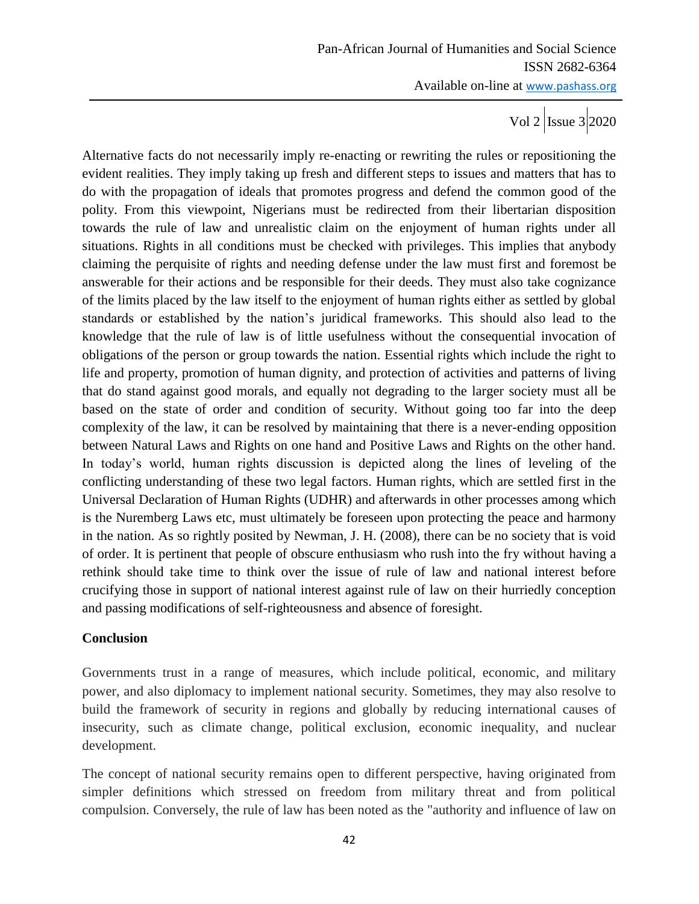Alternative facts do not necessarily imply re-enacting or rewriting the rules or repositioning the evident realities. They imply taking up fresh and different steps to issues and matters that has to do with the propagation of ideals that promotes progress and defend the common good of the polity. From this viewpoint, Nigerians must be redirected from their libertarian disposition towards the rule of law and unrealistic claim on the enjoyment of human rights under all situations. Rights in all conditions must be checked with privileges. This implies that anybody claiming the perquisite of rights and needing defense under the law must first and foremost be answerable for their actions and be responsible for their deeds. They must also take cognizance of the limits placed by the law itself to the enjoyment of human rights either as settled by global standards or established by the nation"s juridical frameworks. This should also lead to the knowledge that the rule of law is of little usefulness without the consequential invocation of obligations of the person or group towards the nation. Essential rights which include the right to life and property, promotion of human dignity, and protection of activities and patterns of living that do stand against good morals, and equally not degrading to the larger society must all be based on the state of order and condition of security. Without going too far into the deep complexity of the law, it can be resolved by maintaining that there is a never-ending opposition between Natural Laws and Rights on one hand and Positive Laws and Rights on the other hand. In today"s world, human rights discussion is depicted along the lines of leveling of the conflicting understanding of these two legal factors. Human rights, which are settled first in the Universal Declaration of Human Rights (UDHR) and afterwards in other processes among which is the Nuremberg Laws etc, must ultimately be foreseen upon protecting the peace and harmony in the nation. As so rightly posited by Newman, J. H. (2008), there can be no society that is void of order. It is pertinent that people of obscure enthusiasm who rush into the fry without having a rethink should take time to think over the issue of rule of law and national interest before crucifying those in support of national interest against rule of law on their hurriedly conception and passing modifications of self-righteousness and absence of foresight.

#### **Conclusion**

Governments trust in a range of measures, which include political, economic, and military power, and also diplomacy to implement national security. Sometimes, they may also resolve to build the framework of security in regions and globally by reducing international causes of insecurity, such as climate change, political exclusion, economic inequality, and nuclear development.

The concept of national security remains open to different perspective, having originated from simpler definitions which stressed on freedom from military threat and from political compulsion. Conversely, the rule of law has been noted as the "authority and influence of law on